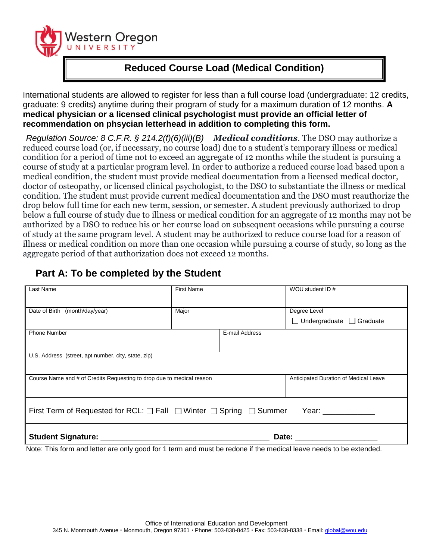

## **Reduced Course Load (Medical Condition)**

International students are allowed to register for less than a full course load (undergraduate: 12 credits, graduate: 9 credits) anytime during their program of study for a maximum duration of 12 months. **A medical physician or a licensed clinical psychologist must provide an official letter of recommendation on phsycian letterhead in addition to completing this form.**

*Regulation Source: 8 C.F.R. § [214.2\(f\)\(6\)\(iii\)\(B\)](http://www.nafsa.org/_/file/_/amresource/8cfr2142f.htm#2142f6iiiB) Medical conditions*. The DSO may authorize a reduced course load (or, if necessary, no course load) due to a student's temporary illness or medical condition for a period of time not to exceed an aggregate of 12 months while the student is pursuing a course of study at a particular program level. In order to authorize a reduced course load based upon a medical condition, the student must provide medical documentation from a licensed medical doctor, doctor of osteopathy, or licensed clinical psychologist, to the DSO to substantiate the illness or medical condition. The student must provide current medical documentation and the DSO must reauthorize the drop below full time for each new term, session, or semester. A student previously authorized to drop below a full course of study due to illness or medical condition for an aggregate of 12 months may not be authorized by a DSO to reduce his or her course load on subsequent occasions while pursuing a course of study at the same program level. A student may be authorized to reduce course load for a reason of illness or medical condition on more than one occasion while pursuing a course of study, so long as the aggregate period of that authorization does not exceed 12 months.

## **Part A: To be completed by the Student**

| Last Name                                                                                                       | <b>First Name</b>                                                               |                | WOU student ID #                                     |  |
|-----------------------------------------------------------------------------------------------------------------|---------------------------------------------------------------------------------|----------------|------------------------------------------------------|--|
| Date of Birth (month/day/year)                                                                                  | Major                                                                           |                | Degree Level<br>$\Box$ Undergraduate $\Box$ Graduate |  |
| <b>Phone Number</b>                                                                                             |                                                                                 | E-mail Address |                                                      |  |
| U.S. Address (street, apt number, city, state, zip)                                                             |                                                                                 |                |                                                      |  |
| Course Name and # of Credits Requesting to drop due to medical reason                                           |                                                                                 |                | Anticipated Duration of Medical Leave                |  |
| First Term of Requested for RCL: $\Box$ Fall $\Box$ Winter $\Box$ Spring $\Box$ Summer<br>Year: ___________     |                                                                                 |                |                                                      |  |
| the contract of the contract of the contract of the contract of the contract of the contract of the contract of | the contract of the contract of the contract of the contract of the contract of | $\sim$ $\sim$  | Date: _________                                      |  |

Note: This form and letter are only good for 1 term and must be redone if the medical leave needs to be extended.